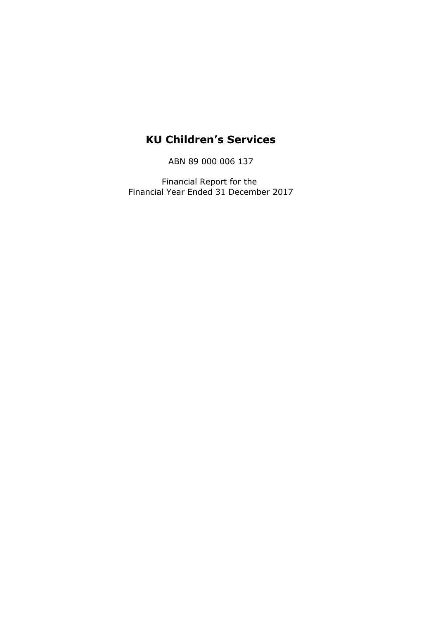# **KU Children's Services**

ABN 89 000 006 137

Financial Report for the Financial Year Ended 31 December 2017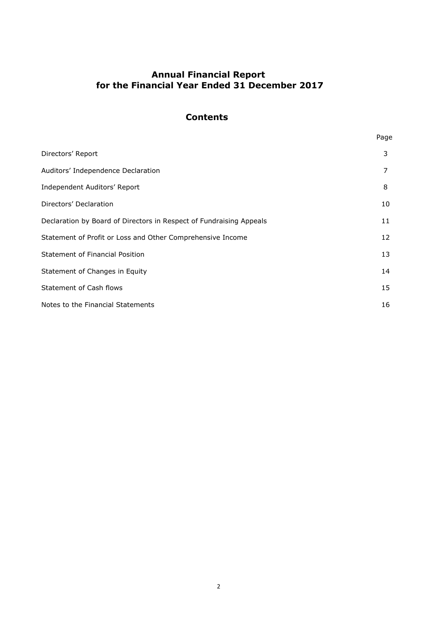# **Annual Financial Report for the Financial Year Ended 31 December 2017**

# **Contents**

| ×<br> |  |
|-------|--|

| Directors' Report                                                   | 3  |
|---------------------------------------------------------------------|----|
| Auditors' Independence Declaration                                  | 7  |
| Independent Auditors' Report                                        | 8  |
| Directors' Declaration                                              | 10 |
| Declaration by Board of Directors in Respect of Fundraising Appeals | 11 |
| Statement of Profit or Loss and Other Comprehensive Income          | 12 |
| Statement of Financial Position                                     | 13 |
| Statement of Changes in Equity                                      | 14 |
| Statement of Cash flows                                             | 15 |
| Notes to the Financial Statements                                   | 16 |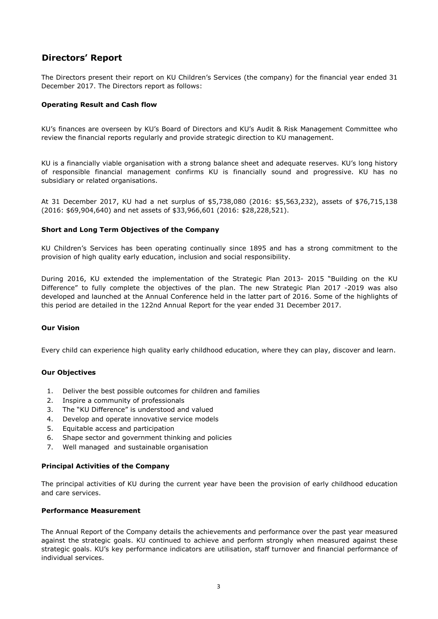# **Directors' Report**

The Directors present their report on KU Children's Services (the company) for the financial year ended 31 December 2017. The Directors report as follows:

#### **Operating Result and Cash flow**

KU's finances are overseen by KU's Board of Directors and KU's Audit & Risk Management Committee who review the financial reports regularly and provide strategic direction to KU management.

KU is a financially viable organisation with a strong balance sheet and adequate reserves. KU's long history of responsible financial management confirms KU is financially sound and progressive. KU has no subsidiary or related organisations.

At 31 December 2017, KU had a net surplus of \$5,738,080 (2016: \$5,563,232), assets of \$76,715,138 (2016: \$69,904,640) and net assets of \$33,966,601 (2016: \$28,228,521).

#### **Short and Long Term Objectives of the Company**

KU Children's Services has been operating continually since 1895 and has a strong commitment to the provision of high quality early education, inclusion and social responsibility.

During 2016, KU extended the implementation of the Strategic Plan 2013- 2015 "Building on the KU Difference" to fully complete the objectives of the plan. The new Strategic Plan 2017 -2019 was also developed and launched at the Annual Conference held in the latter part of 2016. Some of the highlights of this period are detailed in the 122nd Annual Report for the year ended 31 December 2017.

#### **Our Vision**

Every child can experience high quality early childhood education, where they can play, discover and learn.

#### **Our Objectives**

- 1. Deliver the best possible outcomes for children and families
- 2. Inspire a community of professionals
- 3. The "KU Difference" is understood and valued
- 4. Develop and operate innovative service models
- 5. Equitable access and participation
- 6. Shape sector and government thinking and policies
- 7. Well managed and sustainable organisation

#### **Principal Activities of the Company**

The principal activities of KU during the current year have been the provision of early childhood education and care services.

#### **Performance Measurement**

The Annual Report of the Company details the achievements and performance over the past year measured against the strategic goals. KU continued to achieve and perform strongly when measured against these strategic goals. KU's key performance indicators are utilisation, staff turnover and financial performance of individual services.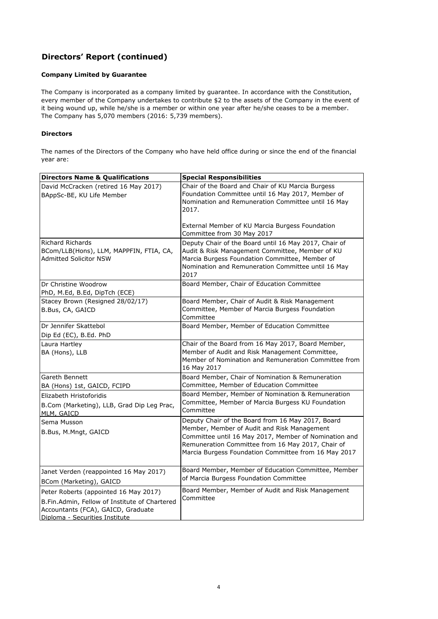# **Directors' Report (continued)**

#### **Company Limited by Guarantee**

The Company is incorporated as a company limited by guarantee. In accordance with the Constitution, every member of the Company undertakes to contribute \$2 to the assets of the Company in the event of it being wound up, while he/she is a member or within one year after he/she ceases to be a member. The Company has 5,070 members (2016: 5,739 members).

#### **Directors**

The names of the Directors of the Company who have held office during or since the end of the financial year are:

| <b>Directors Name &amp; Qualifications</b>                                                                                                                     | <b>Special Responsibilities</b>                                                                                                                                                                                                                                        |
|----------------------------------------------------------------------------------------------------------------------------------------------------------------|------------------------------------------------------------------------------------------------------------------------------------------------------------------------------------------------------------------------------------------------------------------------|
| David McCracken (retired 16 May 2017)<br>BAppSc-BE, KU Life Member                                                                                             | Chair of the Board and Chair of KU Marcia Burgess<br>Foundation Committee until 16 May 2017, Member of<br>Nomination and Remuneration Committee until 16 May<br>2017.<br>External Member of KU Marcia Burgess Foundation                                               |
|                                                                                                                                                                | Committee from 30 May 2017                                                                                                                                                                                                                                             |
| <b>Richard Richards</b><br>BCom/LLB(Hons), LLM, MAPPFIN, FTIA, CA,<br><b>Admitted Solicitor NSW</b>                                                            | Deputy Chair of the Board until 16 May 2017, Chair of<br>Audit & Risk Management Committee, Member of KU<br>Marcia Burgess Foundation Committee, Member of<br>Nomination and Remuneration Committee until 16 May<br>2017                                               |
| Dr Christine Woodrow<br>PhD, M.Ed, B.Ed, DipTch (ECE)                                                                                                          | Board Member, Chair of Education Committee                                                                                                                                                                                                                             |
| Stacey Brown (Resigned 28/02/17)<br>B.Bus, CA, GAICD                                                                                                           | Board Member, Chair of Audit & Risk Management<br>Committee, Member of Marcia Burgess Foundation<br>Committee                                                                                                                                                          |
| Dr Jennifer Skattebol<br>Dip Ed (EC), B.Ed. PhD                                                                                                                | Board Member, Member of Education Committee                                                                                                                                                                                                                            |
| Laura Hartley<br>BA (Hons), LLB                                                                                                                                | Chair of the Board from 16 May 2017, Board Member,<br>Member of Audit and Risk Management Committee,<br>Member of Nomination and Remuneration Committee from<br>16 May 2017                                                                                            |
| Gareth Bennett<br>BA (Hons) 1st, GAICD, FCIPD                                                                                                                  | Board Member, Chair of Nomination & Remuneration<br>Committee, Member of Education Committee                                                                                                                                                                           |
| Elizabeth Hristoforidis<br>B.Com (Marketing), LLB, Grad Dip Leg Prac,<br>MLM, GAICD                                                                            | Board Member, Member of Nomination & Remuneration<br>Committee, Member of Marcia Burgess KU Foundation<br>Committee                                                                                                                                                    |
| Sema Musson<br>B.Bus, M.Mngt, GAICD                                                                                                                            | Deputy Chair of the Board from 16 May 2017, Board<br>Member, Member of Audit and Risk Management<br>Committee until 16 May 2017, Member of Nomination and<br>Remuneration Committee from 16 May 2017, Chair of<br>Marcia Burgess Foundation Committee from 16 May 2017 |
| Janet Verden (reappointed 16 May 2017)<br>BCom (Marketing), GAICD                                                                                              | Board Member, Member of Education Committee, Member<br>of Marcia Burgess Foundation Committee                                                                                                                                                                          |
| Peter Roberts (appointed 16 May 2017)<br>B.Fin.Admin, Fellow of Institute of Chartered<br>Accountants (FCA), GAICD, Graduate<br>Diploma - Securities Institute | Board Member, Member of Audit and Risk Management<br>Committee                                                                                                                                                                                                         |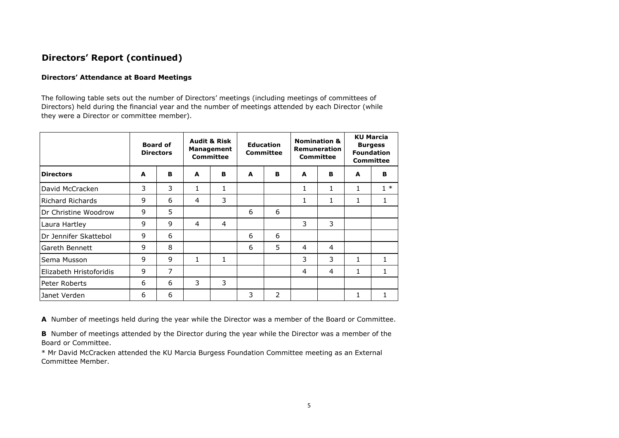# **Directors' Report (continued)**

#### **Directors' Attendance at Board Meetings**

The following table sets out the number of Directors' meetings (including meetings of committees of Directors) held during the financial year and the number of meetings attended by each Director (while they were a Director or committee member).

|                              |   | <b>Board of</b><br><b>Directors</b> |   | <b>Audit &amp; Risk</b><br><b>Management</b><br><b>Committee</b> |   | <b>Nomination &amp;</b><br><b>Education</b><br>Remuneration<br><b>Committee</b><br><b>Committee</b> |   |   |              | <b>KU Marcia</b><br><b>Burgess</b><br><b>Foundation</b><br><b>Committee</b> |
|------------------------------|---|-------------------------------------|---|------------------------------------------------------------------|---|-----------------------------------------------------------------------------------------------------|---|---|--------------|-----------------------------------------------------------------------------|
| <b>Directors</b>             | A | B                                   | A | в                                                                | A | B                                                                                                   | A | в | A            | в                                                                           |
| David McCracken              | 3 | 3                                   | 1 | 1                                                                |   |                                                                                                     | 1 | 1 | 1            | $1 *$                                                                       |
| Richard Richards             | 9 | 6                                   | 4 | 3                                                                |   |                                                                                                     | 1 | 1 | 1            | 1                                                                           |
| <b>IDr Christine Woodrow</b> | 9 | 5                                   |   |                                                                  | 6 | 6                                                                                                   |   |   |              |                                                                             |
| Laura Hartley                | 9 | 9                                   | 4 | 4                                                                |   |                                                                                                     | 3 | 3 |              |                                                                             |
| Dr Jennifer Skattebol        | 9 | 6                                   |   |                                                                  | 6 | 6                                                                                                   |   |   |              |                                                                             |
| lGareth Bennett              | 9 | 8                                   |   |                                                                  | 6 | 5                                                                                                   | 4 | 4 |              |                                                                             |
| Sema Musson                  | 9 | 9                                   | 1 | 1                                                                |   |                                                                                                     | 3 | 3 | 1            | 1                                                                           |
| Elizabeth Hristoforidis      | 9 | 7                                   |   |                                                                  |   |                                                                                                     | 4 | 4 | $\mathbf{1}$ | 1                                                                           |
| Peter Roberts                | 6 | 6                                   | 3 | 3                                                                |   |                                                                                                     |   |   |              |                                                                             |
| Janet Verden                 | 6 | 6                                   |   |                                                                  | 3 | 2                                                                                                   |   |   | 1            |                                                                             |

**A** Number of meetings held during the year while the Director was a member of the Board or Committee.

**B** Number of meetings attended by the Director during the year while the Director was a member of the Board or Committee.

\* Mr David McCracken attended the KU Marcia Burgess Foundation Committee meeting as an External Committee Member.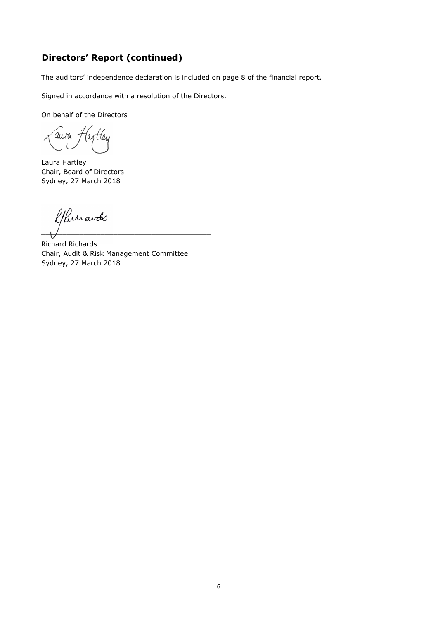# **Directors' Report (continued)**

The auditors' independence declaration is included on page 8 of the financial report.

Signed in accordance with a resolution of the Directors.

On behalf of the Directors

aura -leu  $\overbrace{\phantom{aaaaa}}^{c}$ 

Laura Hartley Chair, Board of Directors Sydney, 27 March 2018

Rurardo  $\overline{\phantom{a}}$ 

Richard Richards Chair, Audit & Risk Management Committee Sydney, 27 March 2018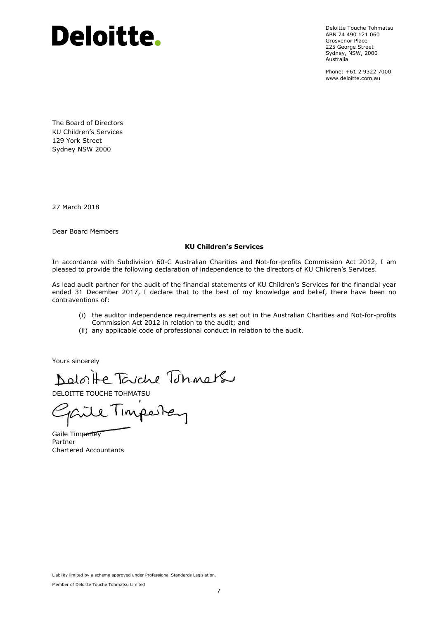# Deloitte.

Deloitte Touche Tohmatsu ABN 74 490 121 060 Grosvenor Place 225 George Street Sydney, NSW, 2000 Australia

Phone: +61 2 9322 7000 www.deloitte.com.au

The Board of Directors KU Children's Services 129 York Street Sydney NSW 2000

27 March 2018

Dear Board Members

#### **KU Children's Services**

In accordance with Subdivision 60-C Australian Charities and Not-for-profits Commission Act 2012, I am pleased to provide the following declaration of independence to the directors of KU Children's Services.

As lead audit partner for the audit of the financial statements of KU Children's Services for the financial year ended 31 December 2017, I declare that to the best of my knowledge and belief, there have been no contraventions of:

- (i) the auditor independence requirements as set out in the Australian Charities and Not-for-profits Commission Act 2012 in relation to the audit; and
- (ii) any applicable code of professional conduct in relation to the audit.

Yours sincerely

Deloitte Touche Tohners<br>DELOITTE TOUCHE TOHMATSU

Gaile Timperley Partner Chartered Accountants

Liability limited by a scheme approved under Professional Standards Legislation.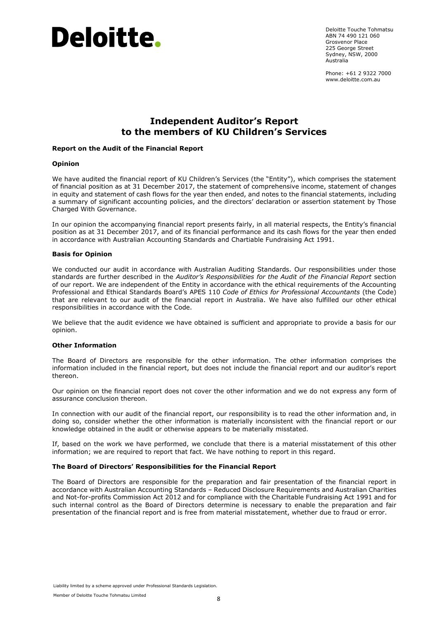

Deloitte Touche Tohmatsu ABN 74 490 121 060 Grosvenor Place 225 George Street Sydney, NSW, 2000 Australia

Phone: +61 2 9322 7000 www.deloitte.com.au.

# **Independent Auditor's Report to the members of KU Children's Services**

#### **Report on the Audit of the Financial Report**

#### **Opinion**

We have audited the financial report of KU Children's Services (the "Entity"), which comprises the statement of financial position as at 31 December 2017, the statement of comprehensive income, statement of changes in equity and statement of cash flows for the year then ended, and notes to the financial statements, including a summary of significant accounting policies, and the directors' declaration or assertion statement by Those Charged With Governance.

In our opinion the accompanying financial report presents fairly, in all material respects, the Entity's financial position as at 31 December 2017, and of its financial performance and its cash flows for the year then ended in accordance with Australian Accounting Standards and Chartiable Fundraising Act 1991.

#### **Basis for Opinion**

We conducted our audit in accordance with Australian Auditing Standards. Our responsibilities under those standards are further described in the *Auditor's Responsibilities for the Audit of the Financial Report* section of our report. We are independent of the Entity in accordance with the ethical requirements of the Accounting Professional and Ethical Standards Board's APES 110 *Code of Ethics for Professional Accountants* (the Code) that are relevant to our audit of the financial report in Australia. We have also fulfilled our other ethical responsibilities in accordance with the Code.

We believe that the audit evidence we have obtained is sufficient and appropriate to provide a basis for our opinion.

#### **Other Information**

The Board of Directors are responsible for the other information. The other information comprises the information included in the financial report, but does not include the financial report and our auditor's report thereon.

Our opinion on the financial report does not cover the other information and we do not express any form of assurance conclusion thereon.

In connection with our audit of the financial report, our responsibility is to read the other information and, in doing so, consider whether the other information is materially inconsistent with the financial report or our knowledge obtained in the audit or otherwise appears to be materially misstated.

If, based on the work we have performed, we conclude that there is a material misstatement of this other information; we are required to report that fact. We have nothing to report in this regard.

#### **The Board of Directors' Responsibilities for the Financial Report**

The Board of Directors are responsible for the preparation and fair presentation of the financial report in accordance with Australian Accounting Standards – Reduced Disclosure Requirements and Australian Charities and Not-for-profits Commission Act 2012 and for compliance with the Charitable Fundraising Act 1991 and for such internal control as the Board of Directors determine is necessary to enable the preparation and fair presentation of the financial report and is free from material misstatement, whether due to fraud or error.

Liability limited by a scheme approved under Professional Standards Legislation.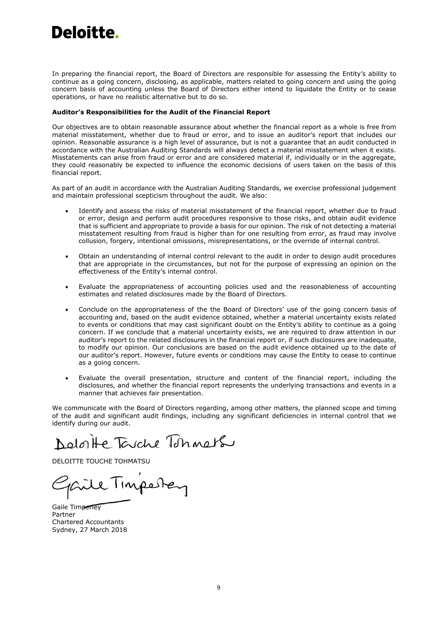# Deloitte.

In preparing the financial report, the Board of Directors are responsible for assessing the Entity's ability to continue as a going concern, disclosing, as applicable, matters related to going concern and using the going concern basis of accounting unless the Board of Directors either intend to liquidate the Entity or to cease operations, or have no realistic alternative but to do so.

#### **Auditor's Responsibilities for the Audit of the Financial Report**

Our objectives are to obtain reasonable assurance about whether the financial report as a whole is free from material misstatement, whether due to fraud or error, and to issue an auditor's report that includes our opinion. Reasonable assurance is a high level of assurance, but is not a guarantee that an audit conducted in accordance with the Australian Auditing Standards will always detect a material misstatement when it exists. Misstatements can arise from fraud or error and are considered material if, individually or in the aggregate, they could reasonably be expected to influence the economic decisions of users taken on the basis of this financial report.

As part of an audit in accordance with the Australian Auditing Standards, we exercise professional judgement and maintain professional scepticism throughout the audit. We also:

- Identify and assess the risks of material misstatement of the financial report, whether due to fraud or error, design and perform audit procedures responsive to those risks, and obtain audit evidence that is sufficient and appropriate to provide a basis for our opinion. The risk of not detecting a material misstatement resulting from fraud is higher than for one resulting from error, as fraud may involve collusion, forgery, intentional omissions, misrepresentations, or the override of internal control.
- Obtain an understanding of internal control relevant to the audit in order to design audit procedures that are appropriate in the circumstances, but not for the purpose of expressing an opinion on the effectiveness of the Entity's internal control.
- Evaluate the appropriateness of accounting policies used and the reasonableness of accounting estimates and related disclosures made by the Board of Directors.
- Conclude on the appropriateness of the the Board of Directors' use of the going concern basis of accounting and, based on the audit evidence obtained, whether a material uncertainty exists related to events or conditions that may cast significant doubt on the Entity's ability to continue as a going concern. If we conclude that a material uncertainty exists, we are required to draw attention in our auditor's report to the related disclosures in the financial report or, if such disclosures are inadequate, to modify our opinion. Our conclusions are based on the audit evidence obtained up to the date of our auditor's report. However, future events or conditions may cause the Entity to cease to continue as a going concern.
- Evaluate the overall presentation, structure and content of the financial report, including the disclosures, and whether the financial report represents the underlying transactions and events in a manner that achieves fair presentation.

We communicate with the Board of Directors regarding, among other matters, the planned scope and timing of the audit and significant audit findings, including any significant deficiencies in internal control that we identify during our audit.

Deloite Tarche Tonners

DELOITTE TOUCHE TOHMATSU

Timpester

Gaile Timperley Partner Chartered Accountants Sydney, 27 March 2018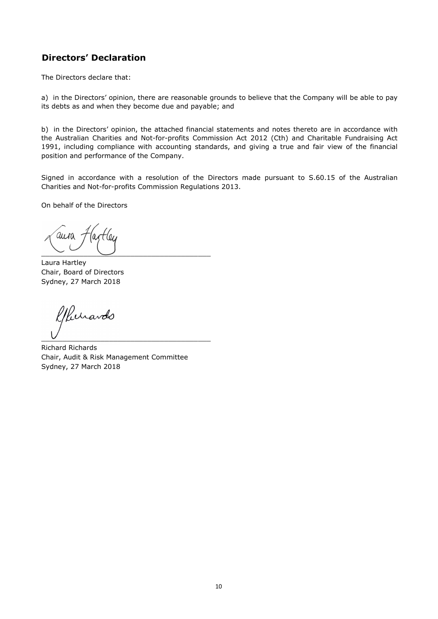# **Directors' Declaration**

The Directors declare that:

a) in the Directors' opinion, there are reasonable grounds to believe that the Company will be able to pay its debts as and when they become due and payable; and

b) in the Directors' opinion, the attached financial statements and notes thereto are in accordance with the Australian Charities and Not-for-profits Commission Act 2012 (Cth) and Charitable Fundraising Act 1991, including compliance with accounting standards, and giving a true and fair view of the financial position and performance of the Company.

Signed in accordance with a resolution of the Directors made pursuant to S.60.15 of the Australian Charities and Not-for-profits Commission Regulations 2013.

On behalf of the Directors

 $\overline{\phantom{a}}$  ,  $\overline{\phantom{a}}$  ,  $\overline{\phantom{a}}$  ,  $\overline{\phantom{a}}$  ,  $\overline{\phantom{a}}$  ,  $\overline{\phantom{a}}$  ,  $\overline{\phantom{a}}$  ,  $\overline{\phantom{a}}$  ,  $\overline{\phantom{a}}$  ,  $\overline{\phantom{a}}$  ,  $\overline{\phantom{a}}$  ,  $\overline{\phantom{a}}$  ,  $\overline{\phantom{a}}$  ,  $\overline{\phantom{a}}$  ,  $\overline{\phantom{a}}$  ,  $\overline{\phantom{a}}$ 

Laura Hartley Chair, Board of Directors Sydney, 27 March 2018

Jurardo  $\overline{C}$ 

Richard Richards Chair, Audit & Risk Management Committee Sydney, 27 March 2018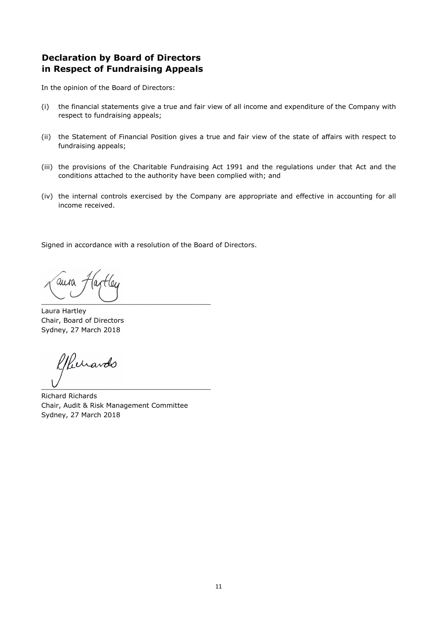# **Declaration by Board of Directors in Respect of Fundraising Appeals**

In the opinion of the Board of Directors:

- (i) the financial statements give a true and fair view of all income and expenditure of the Company with respect to fundraising appeals;
- (ii) the Statement of Financial Position gives a true and fair view of the state of affairs with respect to fundraising appeals;
- (iii) the provisions of the Charitable Fundraising Act 1991 and the regulations under that Act and the conditions attached to the authority have been complied with; and
- (iv) the internal controls exercised by the Company are appropriate and effective in accounting for all income received.

Signed in accordance with a resolution of the Board of Directors.

 $\overline{\phantom{a}}$  ,  $\overline{\phantom{a}}$  ,  $\overline{\phantom{a}}$  ,  $\overline{\phantom{a}}$  ,  $\overline{\phantom{a}}$  ,  $\overline{\phantom{a}}$  ,  $\overline{\phantom{a}}$  ,  $\overline{\phantom{a}}$  ,  $\overline{\phantom{a}}$  ,  $\overline{\phantom{a}}$  ,  $\overline{\phantom{a}}$  ,  $\overline{\phantom{a}}$  ,  $\overline{\phantom{a}}$  ,  $\overline{\phantom{a}}$  ,  $\overline{\phantom{a}}$  ,  $\overline{\phantom{a}}$ 

Laura Hartley Chair, Board of Directors Sydney, 27 March 2018

Kerardo  $\overline{U}$ 

Richard Richards Chair, Audit & Risk Management Committee Sydney, 27 March 2018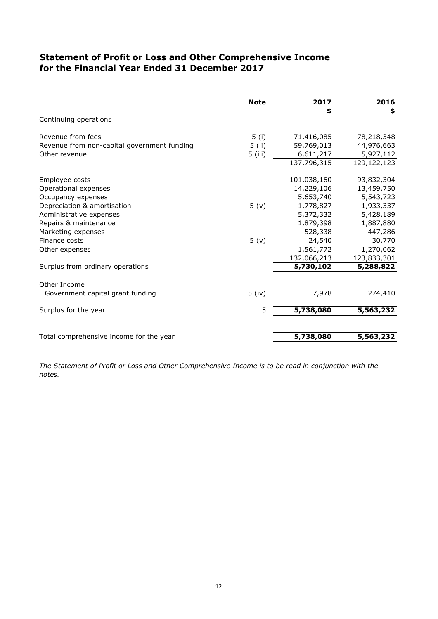# **for the Financial Year Ended 31 December 2017 Statement of Profit or Loss and Other Comprehensive Income**

|                                             | <b>Note</b>      | 2017<br>\$  | 2016<br>\$  |
|---------------------------------------------|------------------|-------------|-------------|
| Continuing operations                       |                  |             |             |
| Revenue from fees                           | 5(i)             | 71,416,085  | 78,218,348  |
| Revenue from non-capital government funding | $5$ (ii)         | 59,769,013  | 44,976,663  |
| Other revenue                               | 5 (iii)          | 6,611,217   | 5,927,112   |
|                                             |                  | 137,796,315 | 129,122,123 |
| Employee costs                              |                  | 101,038,160 | 93,832,304  |
| Operational expenses                        |                  | 14,229,106  | 13,459,750  |
| Occupancy expenses                          |                  | 5,653,740   | 5,543,723   |
| Depreciation & amortisation                 | 5(y)             | 1,778,827   | 1,933,337   |
| Administrative expenses                     |                  | 5,372,332   | 5,428,189   |
| Repairs & maintenance                       |                  | 1,879,398   | 1,887,880   |
| Marketing expenses                          |                  | 528,338     | 447,286     |
| Finance costs                               | 5 <sub>(v)</sub> | 24,540      | 30,770      |
| Other expenses                              |                  | 1,561,772   | 1,270,062   |
|                                             |                  | 132,066,213 | 123,833,301 |
| Surplus from ordinary operations            |                  | 5,730,102   | 5,288,822   |
| Other Income                                |                  |             |             |
| Government capital grant funding            | $5$ (iv)         | 7,978       | 274,410     |
| Surplus for the year                        | 5                | 5,738,080   | 5,563,232   |
| Total comprehensive income for the year     |                  | 5,738,080   | 5,563,232   |

*The Statement of Profit or Loss and Other Comprehensive Income is to be read in conjunction with the notes.*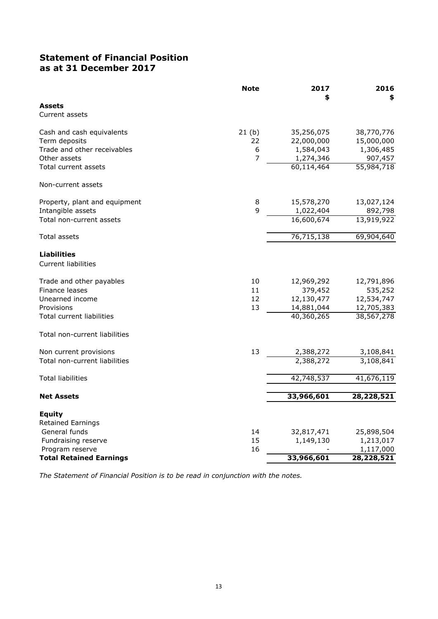# **Statement of Financial Position as at 31 December 2017**

|                                    | <b>Note</b> | 2017<br>\$ | 2016<br>\$ |
|------------------------------------|-------------|------------|------------|
| <b>Assets</b><br>Current assets    |             |            |            |
| Cash and cash equivalents          | 21(b)       | 35,256,075 | 38,770,776 |
| Term deposits                      | 22          | 22,000,000 | 15,000,000 |
| Trade and other receivables        | 6           | 1,584,043  | 1,306,485  |
| Other assets                       | 7           | 1,274,346  | 907,457    |
| Total current assets               |             | 60,114,464 | 55,984,718 |
| Non-current assets                 |             |            |            |
| Property, plant and equipment      | 8           | 15,578,270 | 13,027,124 |
| Intangible assets                  | 9           | 1,022,404  | 892,798    |
| Total non-current assets           |             | 16,600,674 | 13,919,922 |
| Total assets                       |             | 76,715,138 | 69,904,640 |
| <b>Liabilities</b>                 |             |            |            |
| <b>Current liabilities</b>         |             |            |            |
| Trade and other payables           | 10          | 12,969,292 | 12,791,896 |
| Finance leases                     | 11          | 379,452    | 535,252    |
| Unearned income                    | 12          | 12,130,477 | 12,534,747 |
| Provisions                         | 13          | 14,881,044 | 12,705,383 |
| Total current liabilities          |             | 40,360,265 | 38,567,278 |
| Total non-current liabilities      |             |            |            |
| Non current provisions             | 13          | 2,388,272  | 3,108,841  |
| Total non-current liabilities      |             | 2,388,272  | 3,108,841  |
| <b>Total liabilities</b>           |             | 42,748,537 | 41,676,119 |
| <b>Net Assets</b>                  |             | 33,966,601 | 28,228,521 |
|                                    |             |            |            |
| Equity<br><b>Retained Earnings</b> |             |            |            |
| General funds                      | 14          | 32,817,471 | 25,898,504 |
| Fundraising reserve                | 15          | 1,149,130  | 1,213,017  |
| Program reserve                    | 16          |            | 1,117,000  |
| <b>Total Retained Earnings</b>     |             | 33,966,601 | 28,228,521 |

*The Statement of Financial Position is to be read in conjunction with the notes.*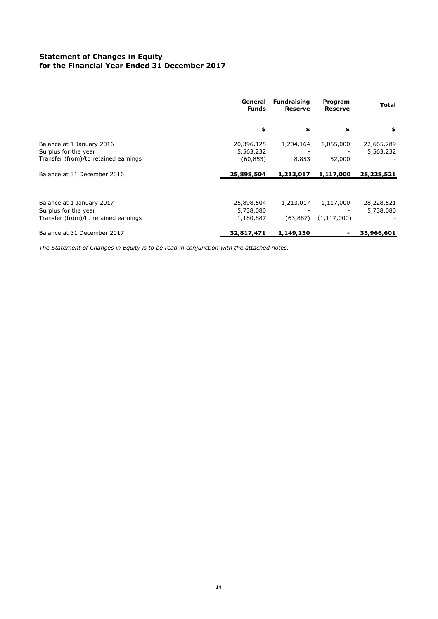#### **Statement of Changes in Equity for the Financial Year Ended 31 December 2017**

|                                      | <b>Fundraising</b><br>General<br><b>Funds</b><br><b>Reserve</b> |           | Program<br><b>Reserve</b> | <b>Total</b> |  |
|--------------------------------------|-----------------------------------------------------------------|-----------|---------------------------|--------------|--|
|                                      | \$                                                              | \$        | \$                        | \$           |  |
| Balance at 1 January 2016            | 20,396,125                                                      | 1,204,164 | 1,065,000                 | 22,665,289   |  |
| Surplus for the year                 | 5,563,232                                                       |           |                           | 5,563,232    |  |
| Transfer (from)/to retained earnings | (60, 853)                                                       | 8,853     | 52,000                    |              |  |
| Balance at 31 December 2016          | 25,898,504                                                      | 1,213,017 | 1,117,000                 | 28,228,521   |  |
| Balance at 1 January 2017            | 25,898,504                                                      | 1,213,017 | 1,117,000                 | 28,228,521   |  |
| Surplus for the year                 | 5,738,080                                                       |           |                           | 5,738,080    |  |
| Transfer (from)/to retained earnings | 1,180,887                                                       | (63, 887) | (1, 117, 000)             |              |  |
| Balance at 31 December 2017          | 32,817,471                                                      | 1,149,130 |                           | 33,966,601   |  |

*The Statement of Changes in Equity is to be read in conjunction with the attached notes.*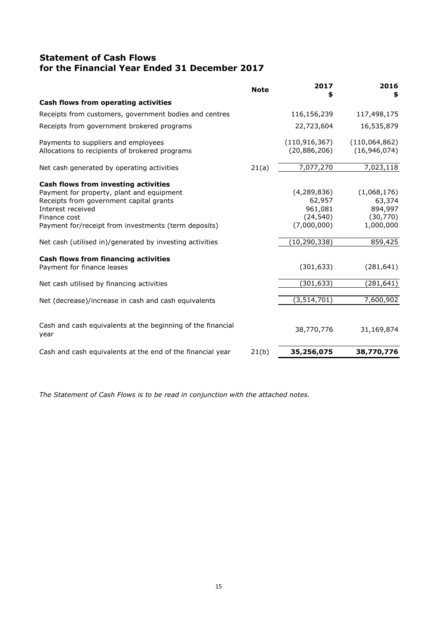# **Statement of Cash Flows for the Financial Year Ended 31 December 2017**

| <b>Note</b> | 2017<br>S       | 2016                        |
|-------------|-----------------|-----------------------------|
|             |                 |                             |
|             | 116,156,239     | 117,498,175                 |
|             | 22,723,604      | 16,535,879                  |
|             | (110, 916, 367) | (110,064,862)               |
|             |                 | (16, 946, 074)              |
| 21(a)       | 7,077,270       | 7,023,118                   |
|             |                 |                             |
|             | (4, 289, 836)   | (1,068,176)                 |
|             | 62,957          | 63,374                      |
|             | 961,081         | 894,997                     |
|             | (24, 540)       | (30, 770)                   |
|             |                 | 1,000,000                   |
|             | (10, 290, 338)  | 859,425                     |
|             |                 |                             |
|             | (301, 633)      | (281, 641)                  |
|             | (301, 633)      | (281,641)                   |
|             | (3, 514, 701)   | 7,600,902                   |
|             |                 |                             |
|             | 38,770,776      | 31,169,874                  |
| 21(b)       | 35,256,075      | 38,770,776                  |
|             |                 | (20,886,206)<br>(7,000,000) |

*The Statement of Cash Flows is to be read in conjunction with the attached notes.*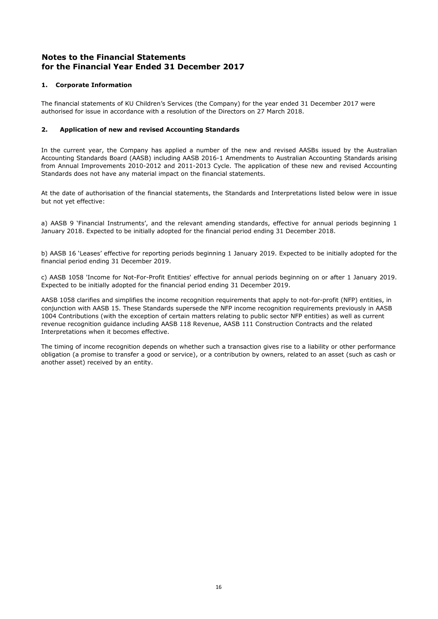#### **1. Corporate Information**

The financial statements of KU Children's Services (the Company) for the year ended 31 December 2017 were authorised for issue in accordance with a resolution of the Directors on 27 March 2018.

#### **2. Application of new and revised Accounting Standards**

In the current year, the Company has applied a number of the new and revised AASBs issued by the Australian Accounting Standards Board (AASB) including AASB 2016-1 Amendments to Australian Accounting Standards arising from Annual Improvements 2010-2012 and 2011-2013 Cycle. The application of these new and revised Accounting Standards does not have any material impact on the financial statements.

At the date of authorisation of the financial statements, the Standards and Interpretations listed below were in issue but not yet effective:

a) AASB 9 'Financial Instruments', and the relevant amending standards, effective for annual periods beginning 1 January 2018. Expected to be initially adopted for the financial period ending 31 December 2018.

b) AASB 16 'Leases' effective for reporting periods beginning 1 January 2019. Expected to be initially adopted for the financial period ending 31 December 2019.

c) AASB 1058 'Income for Not-For-Profit Entities' effective for annual periods beginning on or after 1 January 2019. Expected to be initially adopted for the financial period ending 31 December 2019.

AASB 1058 clarifies and simplifies the income recognition requirements that apply to not-for-profit (NFP) entities, in conjunction with AASB 15. These Standards supersede the NFP income recognition requirements previously in AASB 1004 Contributions (with the exception of certain matters relating to public sector NFP entities) as well as current revenue recognition guidance including AASB 118 Revenue, AASB 111 Construction Contracts and the related Interpretations when it becomes effective.

The timing of income recognition depends on whether such a transaction gives rise to a liability or other performance obligation (a promise to transfer a good or service), or a contribution by owners, related to an asset (such as cash or another asset) received by an entity.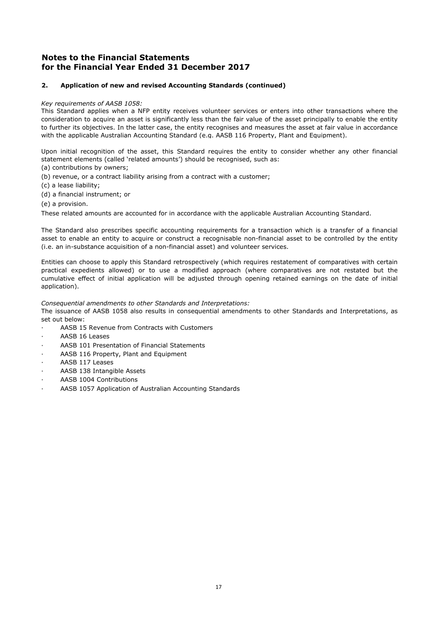#### **2. Application of new and revised Accounting Standards (continued)**

#### *Key requirements of AASB 1058:*

This Standard applies when a NFP entity receives volunteer services or enters into other transactions where the consideration to acquire an asset is significantly less than the fair value of the asset principally to enable the entity to further its objectives. In the latter case, the entity recognises and measures the asset at fair value in accordance with the applicable Australian Accounting Standard (e.g. AASB 116 Property, Plant and Equipment).

Upon initial recognition of the asset, this Standard requires the entity to consider whether any other financial statement elements (called 'related amounts') should be recognised, such as:

- (a) contributions by owners;
- (b) revenue, or a contract liability arising from a contract with a customer;
- (c) a lease liability;
- (d) a financial instrument; or
- (e) a provision.

These related amounts are accounted for in accordance with the applicable Australian Accounting Standard.

The Standard also prescribes specific accounting requirements for a transaction which is a transfer of a financial asset to enable an entity to acquire or construct a recognisable non-financial asset to be controlled by the entity (i.e. an in-substance acquisition of a non-financial asset) and volunteer services.

Entities can choose to apply this Standard retrospectively (which requires restatement of comparatives with certain practical expedients allowed) or to use a modified approach (where comparatives are not restated but the cumulative effect of initial application will be adjusted through opening retained earnings on the date of initial application).

#### *Consequential amendments to other Standards and Interpretations:*

The issuance of AASB 1058 also results in consequential amendments to other Standards and Interpretations, as set out below:

- AASB 15 Revenue from Contracts with Customers
- AASB 16 Leases
- AASB 101 Presentation of Financial Statements
- AASB 116 Property, Plant and Equipment
- AASB 117 Leases
- AASB 138 Intangible Assets
- AASB 1004 Contributions
- AASB 1057 Application of Australian Accounting Standards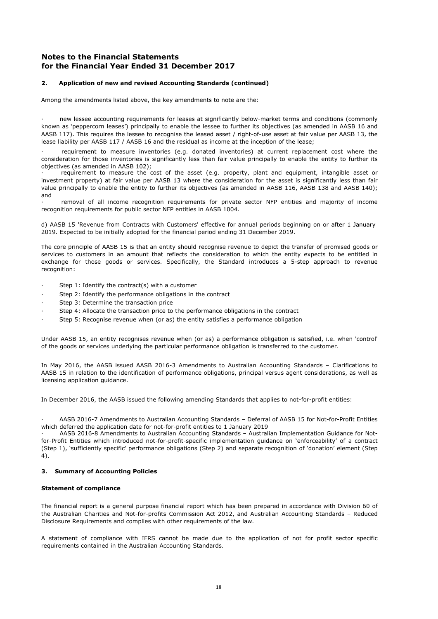#### **2. Application of new and revised Accounting Standards (continued)**

Among the amendments listed above, the key amendments to note are the:

new lessee accounting requirements for leases at significantly below-market terms and conditions (commonly known as 'peppercorn leases') principally to enable the lessee to further its objectives (as amended in AASB 16 and AASB 117). This requires the lessee to recognise the leased asset / right-of-use asset at fair value per AASB 13, the lease liability per AASB 117 / AASB 16 and the residual as income at the inception of the lease;

requirement to measure inventories (e.g. donated inventories) at current replacement cost where the consideration for those inventories is significantly less than fair value principally to enable the entity to further its objectives (as amended in AASB 102);

· requirement to measure the cost of the asset (e.g. property, plant and equipment, intangible asset or investment property) at fair value per AASB 13 where the consideration for the asset is significantly less than fair value principally to enable the entity to further its objectives (as amended in AASB 116, AASB 138 and AASB 140); and

removal of all income recognition requirements for private sector NFP entities and majority of income recognition requirements for public sector NFP entities in AASB 1004.

d) AASB 15 'Revenue from Contracts with Customers' effective for annual periods beginning on or after 1 January 2019. Expected to be initially adopted for the financial period ending 31 December 2019.

The core principle of AASB 15 is that an entity should recognise revenue to depict the transfer of promised goods or services to customers in an amount that reflects the consideration to which the entity expects to be entitled in exchange for those goods or services. Specifically, the Standard introduces a 5-step approach to revenue recognition:

- Step 1: Identify the contract(s) with a customer
- Step 2: Identify the performance obligations in the contract
- Step 3: Determine the transaction price
- Step 4: Allocate the transaction price to the performance obligations in the contract
- Step 5: Recognise revenue when (or as) the entity satisfies a performance obligation

Under AASB 15, an entity recognises revenue when (or as) a performance obligation is satisfied, i.e. when 'control' of the goods or services underlying the particular performance obligation is transferred to the customer.

In May 2016, the AASB issued AASB 2016-3 Amendments to Australian Accounting Standards – Clarifications to AASB 15 in relation to the identification of performance obligations, principal versus agent considerations, as well as licensing application guidance.

In December 2016, the AASB issued the following amending Standards that applies to not-for-profit entities:

· AASB 2016-7 Amendments to Australian Accounting Standards – Deferral of AASB 15 for Not-for-Profit Entities which deferred the application date for not-for-profit entities to 1 January 2019

· AASB 2016-8 Amendments to Australian Accounting Standards – Australian Implementation Guidance for Notfor-Profit Entities which introduced not-for-profit-specific implementation guidance on 'enforceability' of a contract (Step 1), 'sufficiently specific' performance obligations (Step 2) and separate recognition of 'donation' element (Step 4).

#### **3. Summary of Accounting Policies**

#### **Statement of compliance**

The financial report is a general purpose financial report which has been prepared in accordance with Division 60 of the Australian Charities and Not-for-profits Commission Act 2012, and Australian Accounting Standards – Reduced Disclosure Requirements and complies with other requirements of the law.

A statement of compliance with IFRS cannot be made due to the application of not for profit sector specific requirements contained in the Australian Accounting Standards.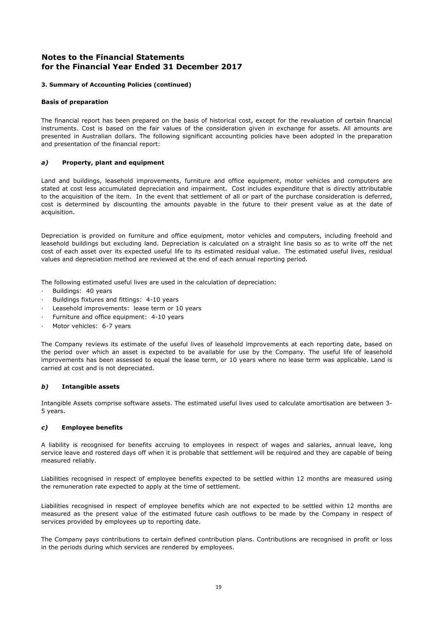#### **3. Summary of Accounting Policies (continued)**

#### **Basis of preparation**

The financial report has been prepared on the basis of historical cost, except for the revaluation of certain financial instruments. Cost is based on the fair values of the consideration given in exchange for assets. All amounts are presented in Australian dollars. The following significant accounting policies have been adopted in the preparation and presentation of the financial report:

#### *a)* **Property, plant and equipment**

Land and buildings, leasehold improvements, furniture and office equipment, motor vehicles and computers are stated at cost less accumulated depreciation and impairment. Cost includes expenditure that is directly attributable to the acquisition of the item. In the event that settlement of all or part of the purchase consideration is deferred, cost is determined by discounting the amounts payable in the future to their present value as at the date of acquisition.

Depreciation is provided on furniture and office equipment, motor vehicles and computers, including freehold and leasehold buildings but excluding land. Depreciation is calculated on a straight line basis so as to write off the net cost of each asset over its expected useful life to its estimated residual value. The estimated useful lives, residual values and depreciation method are reviewed at the end of each annual reporting period.

The following estimated useful lives are used in the calculation of depreciation:

- Buildings: 40 years
- Buildings fixtures and fittings: 4-10 years
- Leasehold improvements: lease term or 10 years
- Furniture and office equipment: 4-10 years
- Motor vehicles: 6-7 years

The Company reviews its estimate of the useful lives of leasehold improvements at each reporting date, based on the period over which an asset is expected to be available for use by the Company. The useful life of leasehold improvements has been assessed to equal the lease term, or 10 years where no lease term was applicable. Land is carried at cost and is not depreciated.

#### *b)* **Intangible assets**

Intangible Assets comprise software assets. The estimated useful lives used to calculate amortisation are between 3- 5 years.

#### *c)* **Employee benefits**

A liability is recognised for benefits accruing to employees in respect of wages and salaries, annual leave, long service leave and rostered days off when it is probable that settlement will be required and they are capable of being measured reliably.

Liabilities recognised in respect of employee benefits expected to be settled within 12 months are measured using the remuneration rate expected to apply at the time of settlement.

Liabilities recognised in respect of employee benefits which are not expected to be settled within 12 months are measured as the present value of the estimated future cash outflows to be made by the Company in respect of services provided by employees up to reporting date.

The Company pays contributions to certain defined contribution plans. Contributions are recognised in profit or loss in the periods during which services are rendered by employees.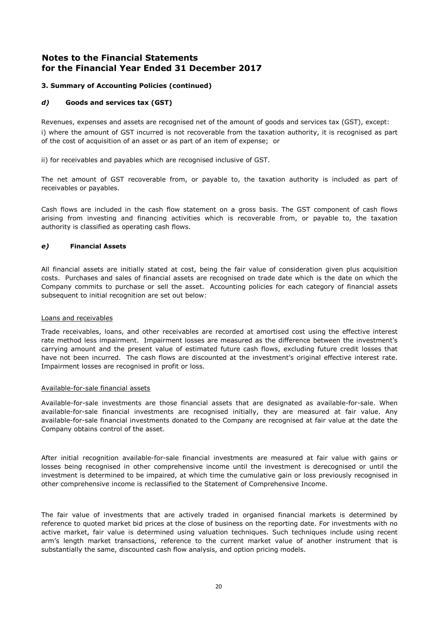#### **3. Summary of Accounting Policies (continued)**

#### *d)* **Goods and services tax (GST)**

Revenues, expenses and assets are recognised net of the amount of goods and services tax (GST), except: i) where the amount of GST incurred is not recoverable from the taxation authority, it is recognised as part of the cost of acquisition of an asset or as part of an item of expense; or

ii) for receivables and payables which are recognised inclusive of GST.

The net amount of GST recoverable from, or payable to, the taxation authority is included as part of receivables or payables.

Cash flows are included in the cash flow statement on a gross basis. The GST component of cash flows arising from investing and financing activities which is recoverable from, or payable to, the taxation authority is classified as operating cash flows.

#### *e)* **Financial Assets**

All financial assets are initially stated at cost, being the fair value of consideration given plus acquisition costs. Purchases and sales of financial assets are recognised on trade date which is the date on which the Company commits to purchase or sell the asset. Accounting policies for each category of financial assets subsequent to initial recognition are set out below:

#### Loans and receivables

Trade receivables, loans, and other receivables are recorded at amortised cost using the effective interest rate method less impairment. Impairment losses are measured as the difference between the investment's carrying amount and the present value of estimated future cash flows, excluding future credit losses that have not been incurred. The cash flows are discounted at the investment's original effective interest rate. Impairment losses are recognised in profit or loss.

#### Available-for-sale financial assets

Available-for-sale investments are those financial assets that are designated as available-for-sale. When available-for-sale financial investments are recognised initially, they are measured at fair value. Any available-for-sale financial investments donated to the Company are recognised at fair value at the date the Company obtains control of the asset.

After initial recognition available-for-sale financial investments are measured at fair value with gains or losses being recognised in other comprehensive income until the investment is derecognised or until the investment is determined to be impaired, at which time the cumulative gain or loss previously recognised in other comprehensive income is reclassified to the Statement of Comprehensive Income.

The fair value of investments that are actively traded in organised financial markets is determined by reference to quoted market bid prices at the close of business on the reporting date. For investments with no active market, fair value is determined using valuation techniques. Such techniques include using recent arm's length market transactions, reference to the current market value of another instrument that is substantially the same, discounted cash flow analysis, and option pricing models.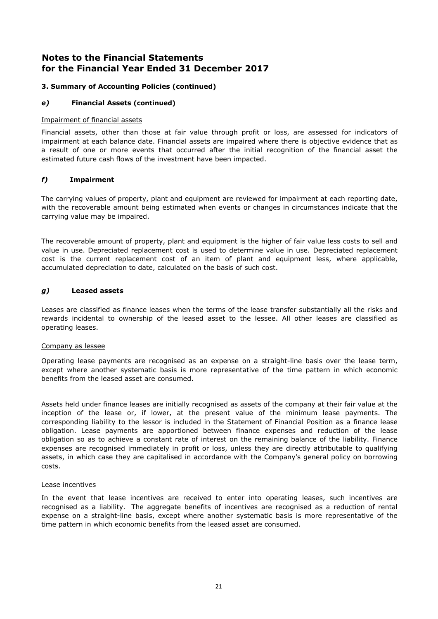#### **3. Summary of Accounting Policies (continued)**

#### *e)* **Financial Assets (continued)**

#### Impairment of financial assets

Financial assets, other than those at fair value through profit or loss, are assessed for indicators of impairment at each balance date. Financial assets are impaired where there is objective evidence that as a result of one or more events that occurred after the initial recognition of the financial asset the estimated future cash flows of the investment have been impacted.

#### *f)* **Impairment**

The carrying values of property, plant and equipment are reviewed for impairment at each reporting date, with the recoverable amount being estimated when events or changes in circumstances indicate that the carrying value may be impaired.

The recoverable amount of property, plant and equipment is the higher of fair value less costs to sell and value in use. Depreciated replacement cost is used to determine value in use. Depreciated replacement cost is the current replacement cost of an item of plant and equipment less, where applicable, accumulated depreciation to date, calculated on the basis of such cost.

#### *g)* **Leased assets**

Leases are classified as finance leases when the terms of the lease transfer substantially all the risks and rewards incidental to ownership of the leased asset to the lessee. All other leases are classified as operating leases.

#### Company as lessee

Operating lease payments are recognised as an expense on a straight-line basis over the lease term, except where another systematic basis is more representative of the time pattern in which economic benefits from the leased asset are consumed.

Assets held under finance leases are initially recognised as assets of the company at their fair value at the inception of the lease or, if lower, at the present value of the minimum lease payments. The corresponding liability to the lessor is included in the Statement of Financial Position as a finance lease obligation. Lease payments are apportioned between finance expenses and reduction of the lease obligation so as to achieve a constant rate of interest on the remaining balance of the liability. Finance expenses are recognised immediately in profit or loss, unless they are directly attributable to qualifying assets, in which case they are capitalised in accordance with the Company's general policy on borrowing costs.

#### Lease incentives

In the event that lease incentives are received to enter into operating leases, such incentives are recognised as a liability. The aggregate benefits of incentives are recognised as a reduction of rental expense on a straight-line basis, except where another systematic basis is more representative of the time pattern in which economic benefits from the leased asset are consumed.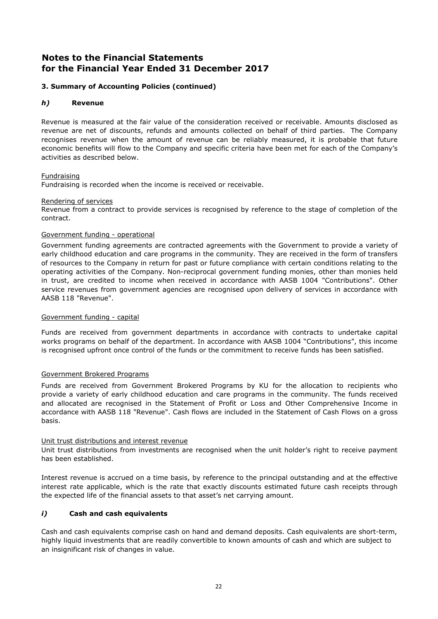#### **3. Summary of Accounting Policies (continued)**

#### *h)* **Revenue**

Revenue is measured at the fair value of the consideration received or receivable. Amounts disclosed as revenue are net of discounts, refunds and amounts collected on behalf of third parties. The Company recognises revenue when the amount of revenue can be reliably measured, it is probable that future economic benefits will flow to the Company and specific criteria have been met for each of the Company's activities as described below.

#### Fundraising

Fundraising is recorded when the income is received or receivable.

#### Rendering of services

Revenue from a contract to provide services is recognised by reference to the stage of completion of the contract.

#### Government funding - operational

Government funding agreements are contracted agreements with the Government to provide a variety of early childhood education and care programs in the community. They are received in the form of transfers of resources to the Company in return for past or future compliance with certain conditions relating to the operating activities of the Company. Non-reciprocal government funding monies, other than monies held in trust, are credited to income when received in accordance with AASB 1004 "Contributions". Other service revenues from government agencies are recognised upon delivery of services in accordance with AASB 118 "Revenue".

#### Government funding - capital

Funds are received from government departments in accordance with contracts to undertake capital works programs on behalf of the department. In accordance with AASB 1004 "Contributions", this income is recognised upfront once control of the funds or the commitment to receive funds has been satisfied.

#### Government Brokered Programs

Funds are received from Government Brokered Programs by KU for the allocation to recipients who provide a variety of early childhood education and care programs in the community. The funds received and allocated are recognised in the Statement of Profit or Loss and Other Comprehensive Income in accordance with AASB 118 "Revenue". Cash flows are included in the Statement of Cash Flows on a gross basis.

#### Unit trust distributions and interest revenue

Unit trust distributions from investments are recognised when the unit holder's right to receive payment has been established.

Interest revenue is accrued on a time basis, by reference to the principal outstanding and at the effective interest rate applicable, which is the rate that exactly discounts estimated future cash receipts through the expected life of the financial assets to that asset's net carrying amount.

#### *i)* **Cash and cash equivalents**

Cash and cash equivalents comprise cash on hand and demand deposits. Cash equivalents are short-term, highly liquid investments that are readily convertible to known amounts of cash and which are subject to an insignificant risk of changes in value.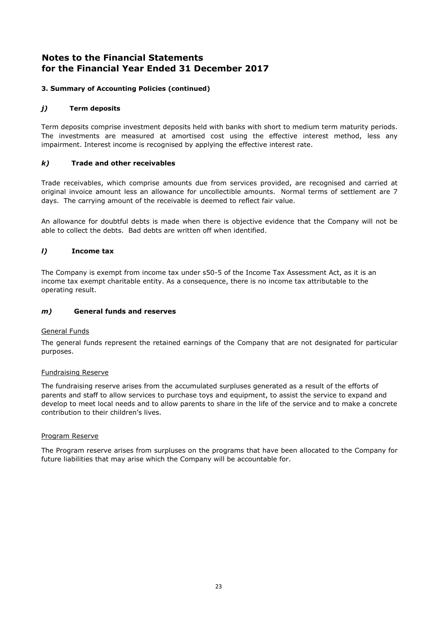#### **3. Summary of Accounting Policies (continued)**

#### *j)* **Term deposits**

Term deposits comprise investment deposits held with banks with short to medium term maturity periods. The investments are measured at amortised cost using the effective interest method, less any impairment. Interest income is recognised by applying the effective interest rate.

#### *k)* **Trade and other receivables**

Trade receivables, which comprise amounts due from services provided, are recognised and carried at original invoice amount less an allowance for uncollectible amounts. Normal terms of settlement are 7 days. The carrying amount of the receivable is deemed to reflect fair value.

An allowance for doubtful debts is made when there is objective evidence that the Company will not be able to collect the debts. Bad debts are written off when identified.

#### *l)* **Income tax**

The Company is exempt from income tax under s50-5 of the Income Tax Assessment Act, as it is an income tax exempt charitable entity. As a consequence, there is no income tax attributable to the operating result.

#### *m)* **General funds and reserves**

#### General Funds

The general funds represent the retained earnings of the Company that are not designated for particular purposes.

#### Fundraising Reserve

The fundraising reserve arises from the accumulated surpluses generated as a result of the efforts of parents and staff to allow services to purchase toys and equipment, to assist the service to expand and develop to meet local needs and to allow parents to share in the life of the service and to make a concrete contribution to their children's lives.

#### Program Reserve

The Program reserve arises from surpluses on the programs that have been allocated to the Company for future liabilities that may arise which the Company will be accountable for.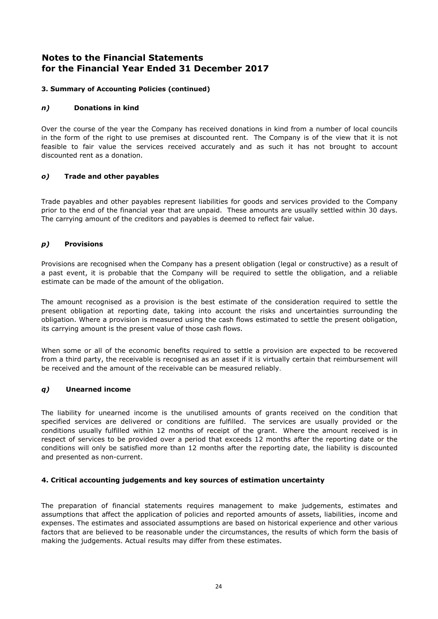#### **3. Summary of Accounting Policies (continued)**

#### *n)* **Donations in kind**

Over the course of the year the Company has received donations in kind from a number of local councils in the form of the right to use premises at discounted rent. The Company is of the view that it is not feasible to fair value the services received accurately and as such it has not brought to account discounted rent as a donation.

#### *o)* **Trade and other payables**

Trade payables and other payables represent liabilities for goods and services provided to the Company prior to the end of the financial year that are unpaid. These amounts are usually settled within 30 days. The carrying amount of the creditors and payables is deemed to reflect fair value.

#### *p)* **Provisions**

Provisions are recognised when the Company has a present obligation (legal or constructive) as a result of a past event, it is probable that the Company will be required to settle the obligation, and a reliable estimate can be made of the amount of the obligation.

The amount recognised as a provision is the best estimate of the consideration required to settle the present obligation at reporting date, taking into account the risks and uncertainties surrounding the obligation. Where a provision is measured using the cash flows estimated to settle the present obligation, its carrying amount is the present value of those cash flows.

When some or all of the economic benefits required to settle a provision are expected to be recovered from a third party, the receivable is recognised as an asset if it is virtually certain that reimbursement will be received and the amount of the receivable can be measured reliably.

#### *q)* **Unearned income**

The liability for unearned income is the unutilised amounts of grants received on the condition that specified services are delivered or conditions are fulfilled. The services are usually provided or the conditions usually fulfilled within 12 months of receipt of the grant. Where the amount received is in respect of services to be provided over a period that exceeds 12 months after the reporting date or the conditions will only be satisfied more than 12 months after the reporting date, the liability is discounted and presented as non-current.

#### **4. Critical accounting judgements and key sources of estimation uncertainty**

The preparation of financial statements requires management to make judgements, estimates and assumptions that affect the application of policies and reported amounts of assets, liabilities, income and expenses. The estimates and associated assumptions are based on historical experience and other various factors that are believed to be reasonable under the circumstances, the results of which form the basis of making the judgements. Actual results may differ from these estimates.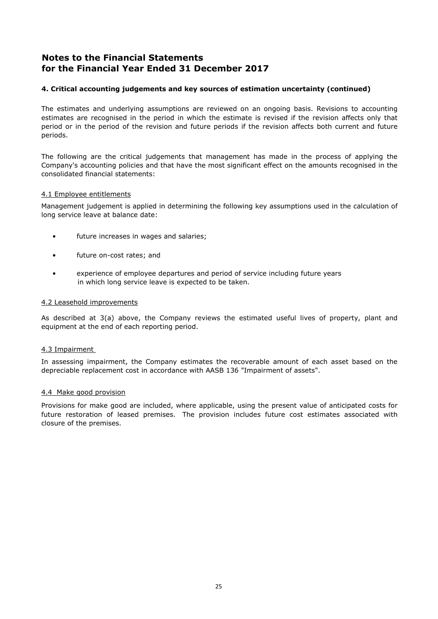#### **4. Critical accounting judgements and key sources of estimation uncertainty (continued)**

The estimates and underlying assumptions are reviewed on an ongoing basis. Revisions to accounting estimates are recognised in the period in which the estimate is revised if the revision affects only that period or in the period of the revision and future periods if the revision affects both current and future periods.

The following are the critical judgements that management has made in the process of applying the Company's accounting policies and that have the most significant effect on the amounts recognised in the consolidated financial statements:

#### 4.1 Employee entitlements

Management judgement is applied in determining the following key assumptions used in the calculation of long service leave at balance date:

- future increases in wages and salaries;
- future on-cost rates; and
- experience of employee departures and period of service including future years in which long service leave is expected to be taken.

#### 4.2 Leasehold improvements

As described at 3(a) above, the Company reviews the estimated useful lives of property, plant and equipment at the end of each reporting period.

#### 4.3 Impairment

In assessing impairment, the Company estimates the recoverable amount of each asset based on the depreciable replacement cost in accordance with AASB 136 "Impairment of assets".

#### 4.4 Make good provision

Provisions for make good are included, where applicable, using the present value of anticipated costs for future restoration of leased premises. The provision includes future cost estimates associated with closure of the premises.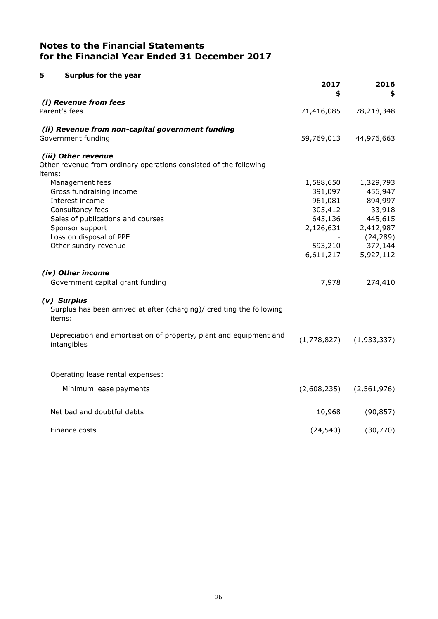| 5<br><b>Surplus for the year</b>                                                               |             |             |
|------------------------------------------------------------------------------------------------|-------------|-------------|
|                                                                                                | 2017<br>\$  | 2016<br>\$  |
| (i) Revenue from fees                                                                          |             |             |
| Parent's fees                                                                                  | 71,416,085  | 78,218,348  |
| (ii) Revenue from non-capital government funding                                               |             |             |
| Government funding                                                                             | 59,769,013  | 44,976,663  |
| (iii) Other revenue                                                                            |             |             |
| Other revenue from ordinary operations consisted of the following                              |             |             |
| items:                                                                                         |             |             |
| Management fees                                                                                | 1,588,650   | 1,329,793   |
| Gross fundraising income                                                                       | 391,097     | 456,947     |
| Interest income                                                                                | 961,081     | 894,997     |
| Consultancy fees                                                                               | 305,412     | 33,918      |
| Sales of publications and courses                                                              | 645,136     | 445,615     |
| Sponsor support                                                                                | 2,126,631   | 2,412,987   |
| Loss on disposal of PPE                                                                        |             | (24, 289)   |
| Other sundry revenue                                                                           | 593,210     | 377,144     |
|                                                                                                | 6,611,217   | 5,927,112   |
| (iv) Other income                                                                              |             |             |
| Government capital grant funding                                                               | 7,978       | 274,410     |
| (v) Surplus<br>Surplus has been arrived at after (charging)/ crediting the following<br>items: |             |             |
| Depreciation and amortisation of property, plant and equipment and<br>intangibles              | (1,778,827) | (1,933,337) |
| Operating lease rental expenses:                                                               |             |             |
| Minimum lease payments                                                                         | (2,608,235) | (2,561,976) |
|                                                                                                |             |             |
| Net bad and doubtful debts                                                                     | 10,968      | (90, 857)   |
| Finance costs                                                                                  | (24, 540)   | (30, 770)   |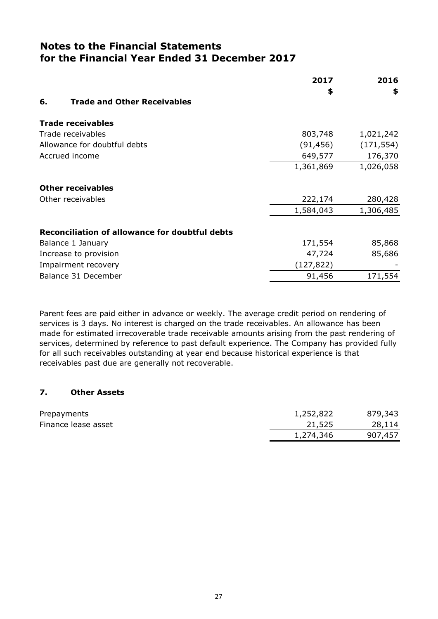|                                                | 2017       | 2016       |
|------------------------------------------------|------------|------------|
|                                                | \$         | \$         |
| 6.<br><b>Trade and Other Receivables</b>       |            |            |
| <b>Trade receivables</b>                       |            |            |
| Trade receivables                              | 803,748    | 1,021,242  |
| Allowance for doubtful debts                   | (91, 456)  | (171, 554) |
| Accrued income                                 | 649,577    | 176,370    |
|                                                | 1,361,869  | 1,026,058  |
| <b>Other receivables</b>                       |            |            |
| Other receivables                              | 222,174    | 280,428    |
|                                                | 1,584,043  | 1,306,485  |
| Reconciliation of allowance for doubtful debts |            |            |
| Balance 1 January                              | 171,554    | 85,868     |
| Increase to provision                          | 47,724     | 85,686     |
| Impairment recovery                            | (127, 822) |            |
| Balance 31 December                            | 91,456     | 171,554    |

Parent fees are paid either in advance or weekly. The average credit period on rendering of services is 3 days. No interest is charged on the trade receivables. An allowance has been made for estimated irrecoverable trade receivable amounts arising from the past rendering of services, determined by reference to past default experience. The Company has provided fully for all such receivables outstanding at year end because historical experience is that receivables past due are generally not recoverable.

# **7. Other Assets**

| Prepayments         | 1,252,822 | 879,343 |
|---------------------|-----------|---------|
| Finance lease asset | 21,525    | 28,114  |
|                     | 1,274,346 | 907,457 |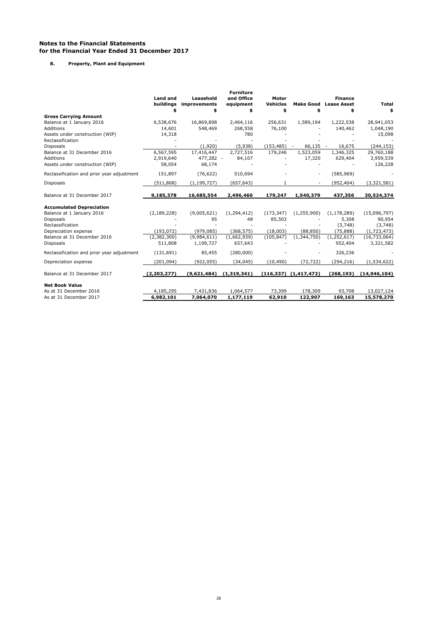**8. Property, Plant and Equipment**

|                                            |                 |               | <b>Furniture</b> |                 |                           |                    |                |
|--------------------------------------------|-----------------|---------------|------------------|-----------------|---------------------------|--------------------|----------------|
|                                            | <b>Land and</b> | Leasehold     | and Office       | Motor           |                           | <b>Finance</b>     |                |
|                                            | buildings       | improvements  | equipment        | <b>Vehicles</b> | <b>Make Good</b>          | <b>Lease Asset</b> | <b>Total</b>   |
| <b>Gross Carrying Amount</b>               | \$              | \$            | \$               | \$              | \$                        | \$                 | \$             |
| Balance at 1 January 2016                  | 6,538,676       | 16,869,898    | 2,464,116        | 256,631         | 1,589,194                 | 1,222,538          | 28,941,053     |
| Additions                                  | 14,601          | 548,469       | 268,558          | 76,100          |                           | 140,462            | 1,048,190      |
| Assets under construction (WIP)            | 14,318          |               | 780              |                 |                           |                    | 15,098         |
| Reclassification                           |                 |               |                  |                 |                           |                    |                |
| <b>Disposals</b>                           |                 | (1,920)       | (5,938)          | (153, 485)      | 66,135                    | 16,675<br>$\sim$   | (244, 153)     |
| Balance at 31 December 2016                | 6,567,595       | 17,416,447    | 2,727,516        | 179,246         | 1,523,059                 | 1,346,325          | 29,760,188     |
| Additions                                  | 2,919,640       | 477,282 -     | 84,107           |                 | 17,320                    | 629,404            | 3,959,539      |
| Assets under construction (WIP)            | 58,054          | 68,174        |                  |                 |                           |                    | 126,228        |
| Reclassification and prior year adjustment | 151,897         | (76, 622)     | 510,694          |                 | $\overline{\phantom{a}}$  | (585, 969)         |                |
| <b>Disposals</b>                           | (511, 808)      | (1, 199, 727) | (657, 643)       | 1               | ٠                         | (952, 404)         | (3,321,581)    |
| Balance at 31 December 2017                | 9,185,378       | 16,685,554    | 2,496,460        | 179,247         | 1,540,379                 | 437,356            | 30,524,374     |
| <b>Accumulated Depreciation</b>            |                 |               |                  |                 |                           |                    |                |
| Balance at 1 January 2016                  | (2, 189, 228)   | (9,005,621)   | (1, 294, 412)    | (173, 347)      | (1,255,900)               | (1, 178, 289)      | (15,096,797)   |
| <b>Disposals</b>                           |                 | 95            | 48               | 85,503          |                           | 5,308              | 90,954         |
| Reclassification                           |                 |               |                  |                 |                           | (3,748)            | (3,748)        |
| Depreciation expense                       | (193, 072)      | (979, 085)    | (368, 575)       | (18,003)        | (88, 850)                 | (75, 888)          | (1,723,473)    |
| Balance at 31 December 2016                | (2,382,300)     | (9,984,611)   | (1,662,939)      | (105, 847)      | (1,344,750)               | (1,252,617)        | (16, 733, 064) |
| <b>Disposals</b>                           | 511,808         | 1,199,727     | 657,643          |                 |                           | 952,404            | 3,321,582      |
| Reclassification and prior year adjustment | (131, 691)      | 85,455        | (280,000)        |                 |                           | 326,236            |                |
| Depreciation expense                       | (201, 094)      | (922, 055)    | (34, 045)        | (10, 490)       | (72, 722)                 | (294, 216)         | (1,534,622)    |
| Balance at 31 December 2017                | (2, 203, 277)   | (9,621,484)   | (1, 319, 341)    |                 | $(116,337)$ $(1,417,472)$ | (268,193)          | (14, 946, 104) |
| <b>Net Book Value</b>                      |                 |               |                  |                 |                           |                    |                |
| As at 31 December 2016                     | 4,185,295       | 7,431,836     | 1,064,577        | 73,399          | 178,309                   | 93,708             | 13,027,124     |
| As at 31 December 2017                     | 6,982,101       | 7,064,070     | 1,177,119        | 62,910          | 122,907                   | 169,163            | 15,578,270     |
|                                            |                 |               |                  |                 |                           |                    |                |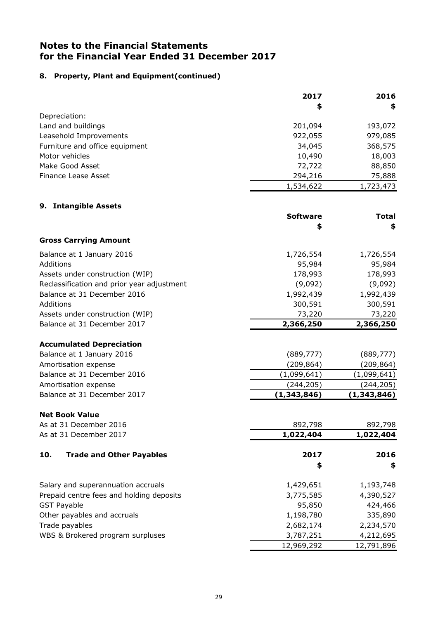#### **8. Property, Plant and Equipment(continued)**

|                                | 2017      | 2016      |
|--------------------------------|-----------|-----------|
|                                | \$        | \$        |
| Depreciation:                  |           |           |
| Land and buildings             | 201,094   | 193,072   |
| Leasehold Improvements         | 922,055   | 979,085   |
| Furniture and office equipment | 34,045    | 368,575   |
| Motor vehicles                 | 10,490    | 18,003    |
| Make Good Asset                | 72,722    | 88,850    |
| Finance Lease Asset            | 294,216   | 75,888    |
|                                | 1,534,622 | 1,723,473 |

# **9. Intangible Assets Software Total \$ \$ Gross Carrying Amount**  Balance at 1 January 2016 1,726,554 1,726,554 Additions 95,984 95,984 Assets under construction (WIP) 178,993 178,993 Reclassification and prior year adjustment (9,092) (9,092) Balance at 31 December 2016 1,992,439 1,992,439 Additions 300,591 300,591 300,591 300,591 300,591 300,591 300,591 300,591 300,591 300,591 300,591 300,591 300,591 Assets under construction (WIP)  $73,220$  73,220 Balance at 31 December 2017 **2,366,250 2,366,250 Accumulated Depreciation** Balance at 1 January 2016 **(889,777)** (889,777) Amortisation expense and the control of the control of the control of the control of the control of the control of the control of the control of the control of the control of the control of the control of the control of th Balance at 31 December 2016 (1,099,641) (1,099,641) (1,099,641) Amortisation expense (244,205) (244,205) Balance at 31 December 2017 **(1,343,846) (1,343,846) Net Book Value** As at 31 December 2016 892,798 892,798 As at 31 December 2017 **1,022,404 1,022,404 10. Trade and Other Payables 2017 2016 \$ \$**  Salary and superannuation accruals 1,429,651 1,193,748 Prepaid centre fees and holding deposits 3,775,585 4,390,527 GST Payable 24,466 424,466 424,466 424,466 424,466 450 424,466 424,466 450 424,466 424,466 424,466 424 424,466 Other payables and accruals and  $1,198,780$  335,890 Trade payables 2,682,174 2,234,570 WBS & Brokered program surpluses and the state of the 3,787,251 4,212,695 12,969,292 12,791,896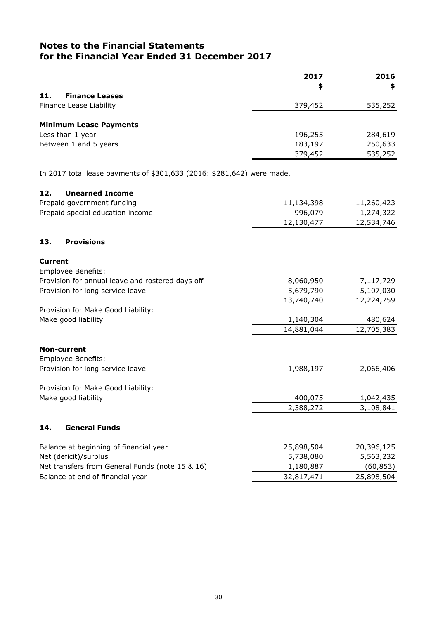|                               | 2017<br>\$ | 2016<br>\$ |
|-------------------------------|------------|------------|
| <b>Finance Leases</b><br>11.  |            |            |
| Finance Lease Liability       | 379,452    | 535,252    |
| <b>Minimum Lease Payments</b> |            |            |
| Less than 1 year              | 196,255    | 284,619    |
| Between 1 and 5 years         | 183,197    | 250,633    |
|                               | 379,452    | 535,252    |

In 2017 total lease payments of \$301,633 (2016: \$281,642) were made.

# **12. Unearned Income**

| Prepaid government funding                       | 11,134,398 | 11,260,423 |
|--------------------------------------------------|------------|------------|
| Prepaid special education income                 | 996,079    | 1,274,322  |
|                                                  | 12,130,477 | 12,534,746 |
| <b>Provisions</b><br>13.                         |            |            |
| <b>Current</b>                                   |            |            |
| <b>Employee Benefits:</b>                        |            |            |
| Provision for annual leave and rostered days off | 8,060,950  | 7,117,729  |
| Provision for long service leave                 | 5,679,790  | 5,107,030  |
|                                                  | 13,740,740 | 12,224,759 |
| Provision for Make Good Liability:               |            |            |
| Make good liability                              | 1,140,304  | 480,624    |
|                                                  | 14,881,044 | 12,705,383 |
| <b>Non-current</b>                               |            |            |
| Employee Benefits:                               |            |            |
| Provision for long service leave                 | 1,988,197  | 2,066,406  |
| Provision for Make Good Liability:               |            |            |
| Make good liability                              | 400,075    | 1,042,435  |
|                                                  | 2,388,272  | 3,108,841  |
| <b>General Funds</b><br>14.                      |            |            |
| Balance at beginning of financial year           | 25,898,504 | 20,396,125 |
| Net (deficit)/surplus                            | 5,738,080  | 5,563,232  |
| Net transfers from General Funds (note 15 & 16)  | 1,180,887  | (60, 853)  |
| Balance at end of financial year                 | 32,817,471 | 25,898,504 |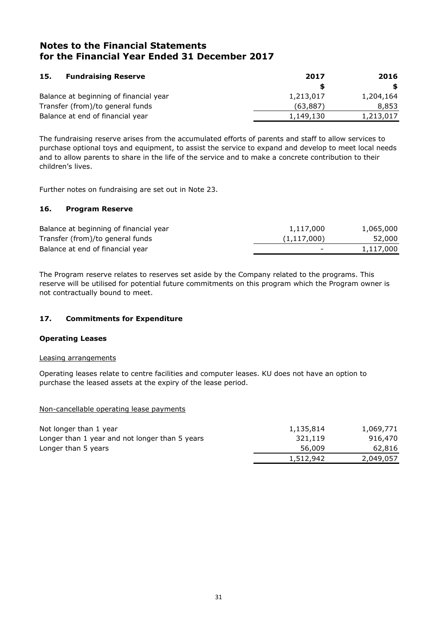| <b>Fundraising Reserve</b><br>15.      | 2017      | 2016      |
|----------------------------------------|-----------|-----------|
|                                        |           | S.        |
| Balance at beginning of financial year | 1,213,017 | 1,204,164 |
| Transfer (from)/to general funds       | (63,887)  | 8,853     |
| Balance at end of financial year       | 1,149,130 | 1,213,017 |

The fundraising reserve arises from the accumulated efforts of parents and staff to allow services to purchase optional toys and equipment, to assist the service to expand and develop to meet local needs and to allow parents to share in the life of the service and to make a concrete contribution to their children's lives.

Further notes on fundraising are set out in Note 23.

#### **16. Program Reserve**

| Balance at beginning of financial year | 1,117,000                | 1,065,000 |
|----------------------------------------|--------------------------|-----------|
| Transfer (from)/to general funds       | (1, 117, 000)            | 52,000    |
| Balance at end of financial year       | $\overline{\phantom{a}}$ | 1,117,000 |
|                                        |                          |           |

The Program reserve relates to reserves set aside by the Company related to the programs. This reserve will be utilised for potential future commitments on this program which the Program owner is not contractually bound to meet.

#### **17. Commitments for Expenditure**

#### **Operating Leases**

#### Leasing arrangements

Operating leases relate to centre facilities and computer leases. KU does not have an option to purchase the leased assets at the expiry of the lease period.

#### Non-cancellable operating lease payments

| Not longer than 1 year                         | 1,135,814 | 1,069,771 |
|------------------------------------------------|-----------|-----------|
| Longer than 1 year and not longer than 5 years | 321,119   | 916,470   |
| Longer than 5 years                            | 56,009    | 62,816    |
|                                                | 1,512,942 | 2,049,057 |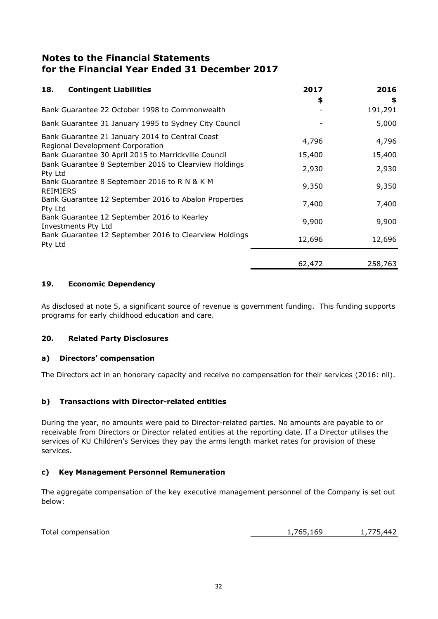| <b>Contingent Liabilities</b><br>18.                                                | 2017<br>\$ | 2016<br>\$ |
|-------------------------------------------------------------------------------------|------------|------------|
| Bank Guarantee 22 October 1998 to Commonwealth                                      |            | 191,291    |
| Bank Guarantee 31 January 1995 to Sydney City Council                               |            | 5,000      |
| Bank Guarantee 21 January 2014 to Central Coast<br>Regional Development Corporation | 4,796      | 4,796      |
| Bank Guarantee 30 April 2015 to Marrickville Council                                | 15,400     | 15,400     |
| Bank Guarantee 8 September 2016 to Clearview Holdings<br>Pty Ltd                    | 2,930      | 2,930      |
| Bank Guarantee 8 September 2016 to R N & K M<br><b>REIMIERS</b>                     | 9,350      | 9,350      |
| Bank Guarantee 12 September 2016 to Abalon Properties<br>Pty Ltd                    | 7,400      | 7,400      |
| Bank Guarantee 12 September 2016 to Kearley<br>Investments Pty Ltd                  | 9,900      | 9,900      |
| Bank Guarantee 12 September 2016 to Clearview Holdings<br>Pty Ltd                   | 12,696     | 12,696     |
|                                                                                     | 62,472     | 258,763    |

## **19. Economic Dependency**

As disclosed at note 5, a significant source of revenue is government funding. This funding supports programs for early childhood education and care.

#### **20. Related Party Disclosures**

#### **a) Directors' compensation**

The Directors act in an honorary capacity and receive no compensation for their services (2016: nil).

#### **b) Transactions with Director-related entities**

During the year, no amounts were paid to Director-related parties. No amounts are payable to or receivable from Directors or Director related entities at the reporting date. If a Director utilises the services of KU Children's Services they pay the arms length market rates for provision of these services.

#### **c) Key Management Personnel Remuneration**

The aggregate compensation of the key executive management personnel of the Company is set out below:

Total compensation 1,765,169 1,775,442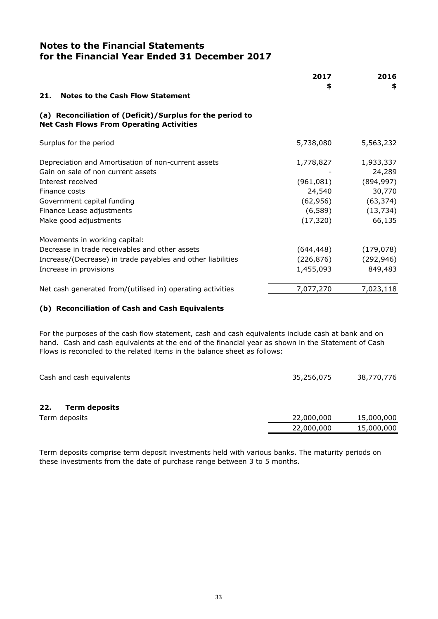|                                                                                                              | 2017       | 2016       |
|--------------------------------------------------------------------------------------------------------------|------------|------------|
| <b>Notes to the Cash Flow Statement</b><br>21.                                                               | \$         | \$         |
| (a) Reconciliation of (Deficit)/Surplus for the period to<br><b>Net Cash Flows From Operating Activities</b> |            |            |
| Surplus for the period                                                                                       | 5,738,080  | 5,563,232  |
| Depreciation and Amortisation of non-current assets                                                          | 1,778,827  | 1,933,337  |
| Gain on sale of non current assets                                                                           |            | 24,289     |
| Interest received                                                                                            | (961,081)  | (894, 997) |
| Finance costs                                                                                                | 24,540     | 30,770     |
| Government capital funding                                                                                   | (62, 956)  | (63, 374)  |
| Finance Lease adjustments                                                                                    | (6, 589)   | (13, 734)  |
| Make good adjustments                                                                                        | (17, 320)  | 66,135     |
| Movements in working capital:                                                                                |            |            |
| Decrease in trade receivables and other assets                                                               | (644,448)  | (179, 078) |
| Increase/(Decrease) in trade payables and other liabilities                                                  | (226, 876) | (292, 946) |
| Increase in provisions                                                                                       | 1,455,093  | 849,483    |
| Net cash generated from/(utilised in) operating activities                                                   | 7,077,270  | 7,023,118  |

#### **(b) Reconciliation of Cash and Cash Equivalents**

For the purposes of the cash flow statement, cash and cash equivalents include cash at bank and on hand. Cash and cash equivalents at the end of the financial year as shown in the Statement of Cash Flows is reconciled to the related items in the balance sheet as follows:

| Cash and cash equivalents   | 35,256,075 | 38,770,776 |
|-----------------------------|------------|------------|
| <b>Term deposits</b><br>22. |            |            |
| Term deposits               | 22,000,000 | 15,000,000 |
|                             | 22,000,000 | 15,000,000 |

Term deposits comprise term deposit investments held with various banks. The maturity periods on these investments from the date of purchase range between 3 to 5 months.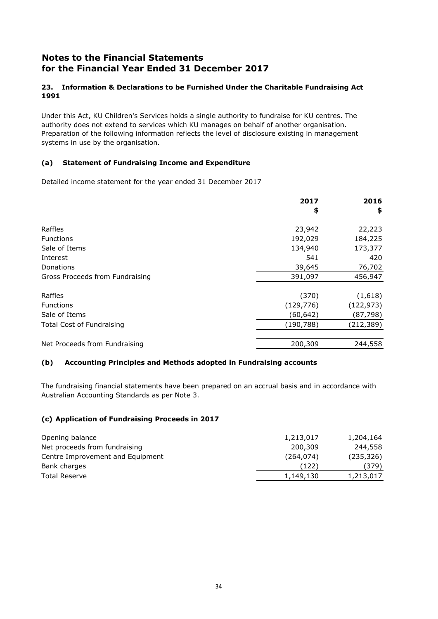#### **23. Information & Declarations to be Furnished Under the Charitable Fundraising Act 1991**

Under this Act, KU Children's Services holds a single authority to fundraise for KU centres. The authority does not extend to services which KU manages on behalf of another organisation. Preparation of the following information reflects the level of disclosure existing in management systems in use by the organisation.

#### **(a) Statement of Fundraising Income and Expenditure**

Detailed income statement for the year ended 31 December 2017

|                                  | 2017       | 2016       |
|----------------------------------|------------|------------|
|                                  | \$         | \$         |
| Raffles                          | 23,942     | 22,223     |
| <b>Functions</b>                 | 192,029    | 184,225    |
| Sale of Items                    | 134,940    | 173,377    |
| Interest                         | 541        | 420        |
| Donations                        | 39,645     | 76,702     |
| Gross Proceeds from Fundraising  | 391,097    | 456,947    |
| Raffles                          | (370)      | (1,618)    |
| <b>Functions</b>                 | (129, 776) | (122, 973) |
| Sale of Items                    | (60, 642)  | (87, 798)  |
| <b>Total Cost of Fundraising</b> | (190, 788) | (212, 389) |
| Net Proceeds from Fundraising    | 200,309    | 244,558    |

#### **(b) Accounting Principles and Methods adopted in Fundraising accounts**

The fundraising financial statements have been prepared on an accrual basis and in accordance with Australian Accounting Standards as per Note 3.

#### **(c) Application of Fundraising Proceeds in 2017**

| Opening balance                  | 1,213,017  | 1,204,164  |
|----------------------------------|------------|------------|
| Net proceeds from fundraising    | 200,309    | 244,558    |
| Centre Improvement and Equipment | (264, 074) | (235, 326) |
| Bank charges                     | (122)      | (379)      |
| <b>Total Reserve</b>             | 1,149,130  | 1,213,017  |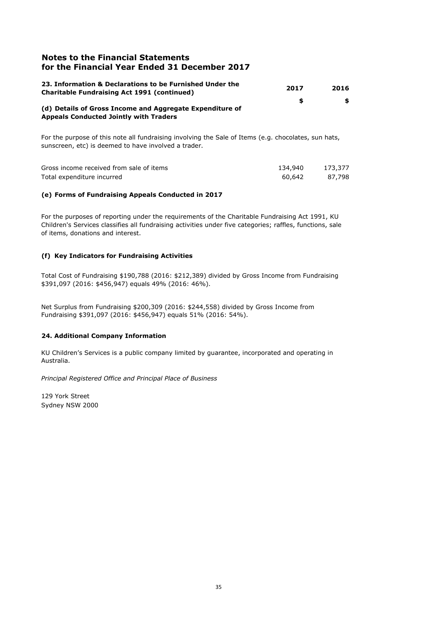| 23. Information & Declarations to be Furnished Under the<br><b>Charitable Fundraising Act 1991 (continued)</b> | 2017 | 2016 |
|----------------------------------------------------------------------------------------------------------------|------|------|
| (d) Details of Gross Income and Aggregate Expenditure of<br><b>Appeals Conducted Jointly with Traders</b>      | SS.  | S.   |

For the purpose of this note all fundraising involving the Sale of Items (e.g. chocolates, sun hats, sunscreen, etc) is deemed to have involved a trader.

| Gross income received from sale of items | 134,940 | 173,377 |
|------------------------------------------|---------|---------|
| Total expenditure incurred               | 60.642  | 87.798  |

#### **(e) Forms of Fundraising Appeals Conducted in 2017**

For the purposes of reporting under the requirements of the Charitable Fundraising Act 1991, KU Children's Services classifies all fundraising activities under five categories; raffles, functions, sale of items, donations and interest.

#### **(f) Key Indicators for Fundraising Activities**

Total Cost of Fundraising \$190,788 (2016: \$212,389) divided by Gross Income from Fundraising \$391,097 (2016: \$456,947) equals 49% (2016: 46%).

Net Surplus from Fundraising \$200,309 (2016: \$244,558) divided by Gross Income from Fundraising \$391,097 (2016: \$456,947) equals 51% (2016: 54%).

#### **24. Additional Company Information**

KU Children's Services is a public company limited by guarantee, incorporated and operating in Australia.

*Principal Registered Office and Principal Place of Business*

129 York Street Sydney NSW 2000